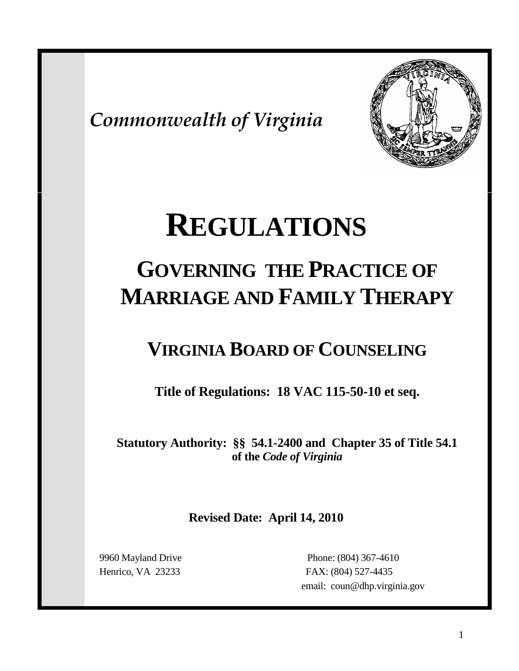*Commonwealth of Virginia*



# **REGULATIONS**

## **GOVERNING THE PRACTICE OF MARRIAGE AND FAMILY THERAPY**

### **VIRGINIA BOARD OF COUNSELING**

**Title of Regulations: 18 VAC 115-50-10 et seq.**

**Statutory Authority: §§ 54.1-2400 and Chapter 35 of Title 54.1 of the** *Code of Virginia*

**Revised Date: April 14, 2010**

 9960 Mayland Drive Phone: (804) 367-4610 Henrico, VA 23233 FAX: (804) 527-4435 email: coun@dhp.virginia.gov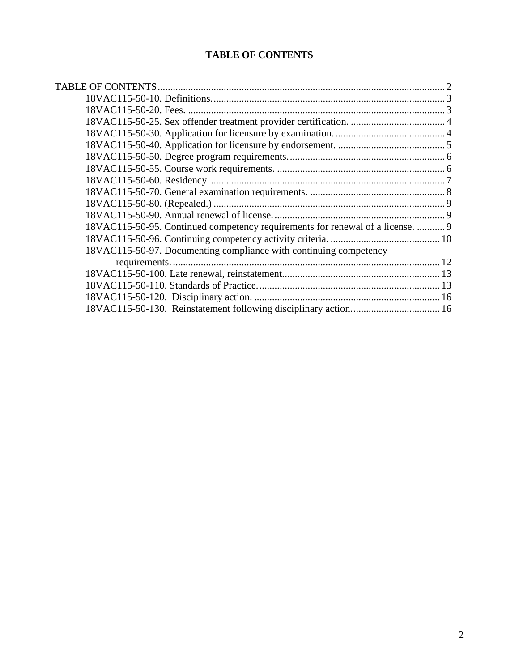#### **TABLE OF CONTENTS**

<span id="page-1-0"></span>

| 18VAC115-50-95. Continued competency requirements for renewal of a license.  9 |  |
|--------------------------------------------------------------------------------|--|
|                                                                                |  |
| 18VAC115-50-97. Documenting compliance with continuing competency              |  |
|                                                                                |  |
|                                                                                |  |
|                                                                                |  |
|                                                                                |  |
|                                                                                |  |
|                                                                                |  |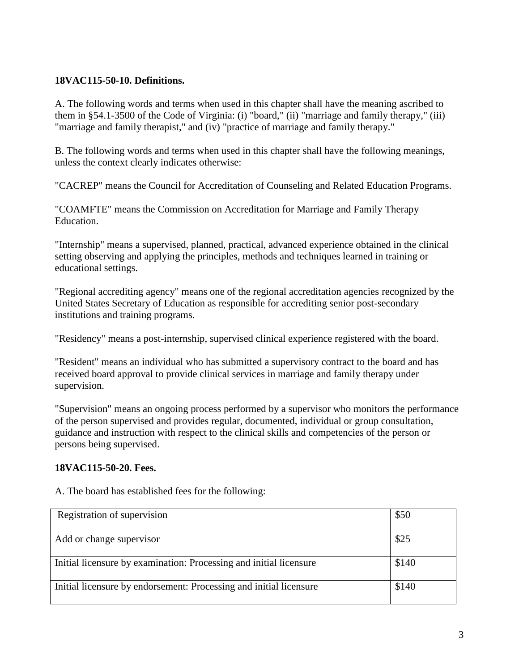#### <span id="page-2-0"></span>**18VAC115-50-10. Definitions.**

A. The following words and terms when used in this chapter shall have the meaning ascribed to them in §54.1-3500 of the Code of Virginia: (i) "board," (ii) "marriage and family therapy," (iii) "marriage and family therapist," and (iv) "practice of marriage and family therapy."

B. The following words and terms when used in this chapter shall have the following meanings, unless the context clearly indicates otherwise:

"CACREP" means the Council for Accreditation of Counseling and Related Education Programs.

"COAMFTE" means the Commission on Accreditation for Marriage and Family Therapy Education.

"Internship" means a supervised, planned, practical, advanced experience obtained in the clinical setting observing and applying the principles, methods and techniques learned in training or educational settings.

"Regional accrediting agency" means one of the regional accreditation agencies recognized by the United States Secretary of Education as responsible for accrediting senior post-secondary institutions and training programs.

"Residency" means a post-internship, supervised clinical experience registered with the board.

"Resident" means an individual who has submitted a supervisory contract to the board and has received board approval to provide clinical services in marriage and family therapy under supervision.

"Supervision" means an ongoing process performed by a supervisor who monitors the performance of the person supervised and provides regular, documented, individual or group consultation, guidance and instruction with respect to the clinical skills and competencies of the person or persons being supervised.

#### <span id="page-2-1"></span>**18VAC115-50-20. Fees.**

| Registration of supervision                                        | \$50  |
|--------------------------------------------------------------------|-------|
|                                                                    |       |
|                                                                    |       |
| Add or change supervisor                                           | \$25  |
|                                                                    |       |
| Initial licensure by examination: Processing and initial licensure | \$140 |
|                                                                    |       |
|                                                                    |       |
| Initial licensure by endorsement: Processing and initial licensure | \$140 |
|                                                                    |       |

A. The board has established fees for the following: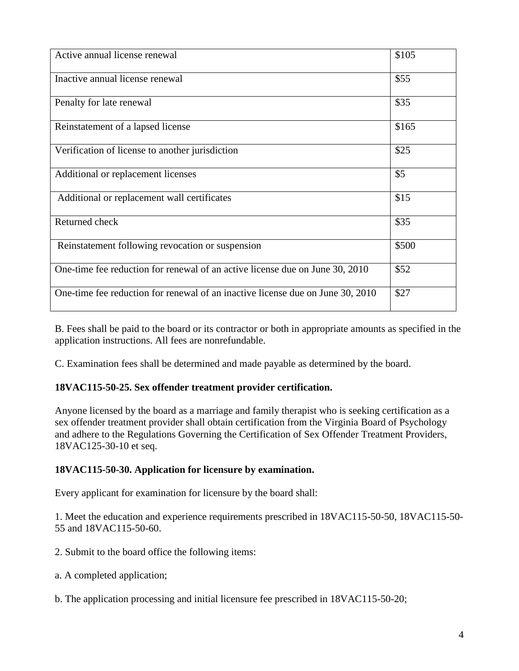| Active annual license renewal                                                  | \$105 |
|--------------------------------------------------------------------------------|-------|
| Inactive annual license renewal                                                | \$55  |
| Penalty for late renewal                                                       | \$35  |
| Reinstatement of a lapsed license                                              | \$165 |
| Verification of license to another jurisdiction                                | \$25  |
| Additional or replacement licenses                                             | \$5   |
| Additional or replacement wall certificates                                    | \$15  |
| Returned check                                                                 | \$35  |
| Reinstatement following revocation or suspension                               | \$500 |
| One-time fee reduction for renewal of an active license due on June 30, 2010   | \$52  |
| One-time fee reduction for renewal of an inactive license due on June 30, 2010 | \$27  |

B. Fees shall be paid to the board or its contractor or both in appropriate amounts as specified in the application instructions. All fees are nonrefundable.

<span id="page-3-0"></span>C. Examination fees shall be determined and made payable as determined by the board.

#### **18VAC115-50-25. Sex offender treatment provider certification.**

Anyone licensed by the board as a marriage and family therapist who is seeking certification as a sex offender treatment provider shall obtain certification from the Virginia Board of Psychology and adhere to the Regulations Governing the Certification of Sex Offender Treatment Providers, 18VAC125-30-10 et seq.

#### <span id="page-3-1"></span>**18VAC115-50-30. Application for licensure by examination.**

Every applicant for examination for licensure by the board shall:

1. Meet the education and experience requirements prescribed in 18VAC115-50-50, 18VAC115-50- 55 and 18VAC115-50-60.

- 2. Submit to the board office the following items:
- a. A completed application;
- b. The application processing and initial licensure fee prescribed in 18VAC115-50-20;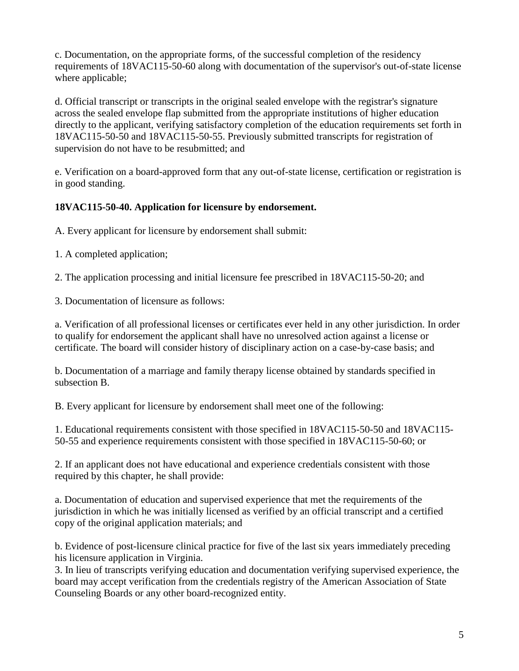c. Documentation, on the appropriate forms, of the successful completion of the residency requirements of 18VAC115-50-60 along with documentation of the supervisor's out-of-state license where applicable;

d. Official transcript or transcripts in the original sealed envelope with the registrar's signature across the sealed envelope flap submitted from the appropriate institutions of higher education directly to the applicant, verifying satisfactory completion of the education requirements set forth in 18VAC115-50-50 and 18VAC115-50-55. Previously submitted transcripts for registration of supervision do not have to be resubmitted; and

e. Verification on a board-approved form that any out-of-state license, certification or registration is in good standing.

#### <span id="page-4-0"></span>**18VAC115-50-40. Application for licensure by endorsement.**

A. Every applicant for licensure by endorsement shall submit:

1. A completed application;

2. The application processing and initial licensure fee prescribed in 18VAC115-50-20; and

3. Documentation of licensure as follows:

a. Verification of all professional licenses or certificates ever held in any other jurisdiction. In order to qualify for endorsement the applicant shall have no unresolved action against a license or certificate. The board will consider history of disciplinary action on a case-by-case basis; and

b. Documentation of a marriage and family therapy license obtained by standards specified in subsection B.

B. Every applicant for licensure by endorsement shall meet one of the following:

1. Educational requirements consistent with those specified in 18VAC115-50-50 and 18VAC115- 50-55 and experience requirements consistent with those specified in 18VAC115-50-60; or

2. If an applicant does not have educational and experience credentials consistent with those required by this chapter, he shall provide:

a. Documentation of education and supervised experience that met the requirements of the jurisdiction in which he was initially licensed as verified by an official transcript and a certified copy of the original application materials; and

b. Evidence of post-licensure clinical practice for five of the last six years immediately preceding his licensure application in Virginia.

3. In lieu of transcripts verifying education and documentation verifying supervised experience, the board may accept verification from the credentials registry of the American Association of State Counseling Boards or any other board-recognized entity.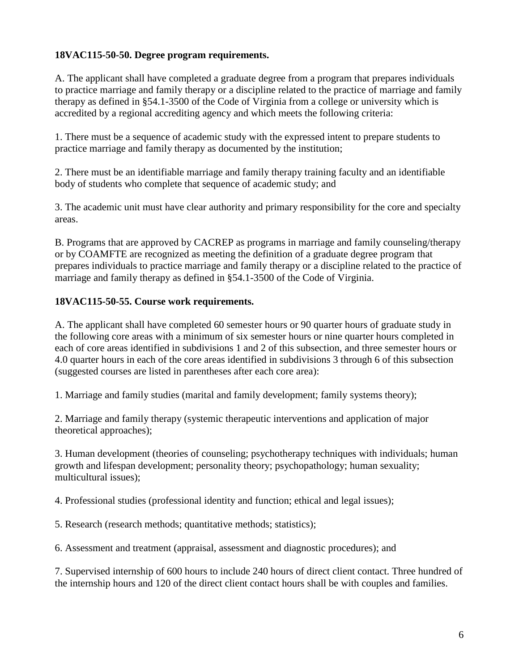#### <span id="page-5-0"></span>**18VAC115-50-50. Degree program requirements.**

A. The applicant shall have completed a graduate degree from a program that prepares individuals to practice marriage and family therapy or a discipline related to the practice of marriage and family therapy as defined in §54.1-3500 of the Code of Virginia from a college or university which is accredited by a regional accrediting agency and which meets the following criteria:

1. There must be a sequence of academic study with the expressed intent to prepare students to practice marriage and family therapy as documented by the institution;

2. There must be an identifiable marriage and family therapy training faculty and an identifiable body of students who complete that sequence of academic study; and

3. The academic unit must have clear authority and primary responsibility for the core and specialty areas.

B. Programs that are approved by CACREP as programs in marriage and family counseling/therapy or by COAMFTE are recognized as meeting the definition of a graduate degree program that prepares individuals to practice marriage and family therapy or a discipline related to the practice of marriage and family therapy as defined in §54.1-3500 of the Code of Virginia.

#### <span id="page-5-1"></span>**18VAC115-50-55. Course work requirements.**

A. The applicant shall have completed 60 semester hours or 90 quarter hours of graduate study in the following core areas with a minimum of six semester hours or nine quarter hours completed in each of core areas identified in subdivisions 1 and 2 of this subsection, and three semester hours or 4.0 quarter hours in each of the core areas identified in subdivisions 3 through 6 of this subsection (suggested courses are listed in parentheses after each core area):

1. Marriage and family studies (marital and family development; family systems theory);

2. Marriage and family therapy (systemic therapeutic interventions and application of major theoretical approaches);

3. Human development (theories of counseling; psychotherapy techniques with individuals; human growth and lifespan development; personality theory; psychopathology; human sexuality; multicultural issues);

4. Professional studies (professional identity and function; ethical and legal issues);

5. Research (research methods; quantitative methods; statistics);

6. Assessment and treatment (appraisal, assessment and diagnostic procedures); and

7. Supervised internship of 600 hours to include 240 hours of direct client contact. Three hundred of the internship hours and 120 of the direct client contact hours shall be with couples and families.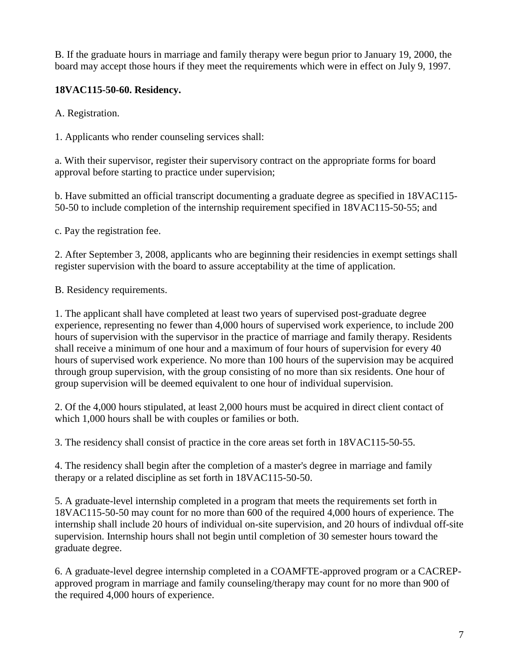B. If the graduate hours in marriage and family therapy were begun prior to January 19, 2000, the board may accept those hours if they meet the requirements which were in effect on July 9, 1997.

#### <span id="page-6-0"></span>**18VAC115-50-60. Residency.**

A. Registration.

1. Applicants who render counseling services shall:

a. With their supervisor, register their supervisory contract on the appropriate forms for board approval before starting to practice under supervision;

b. Have submitted an official transcript documenting a graduate degree as specified in 18VAC115- 50-50 to include completion of the internship requirement specified in 18VAC115-50-55; and

c. Pay the registration fee.

2. After September 3, 2008, applicants who are beginning their residencies in exempt settings shall register supervision with the board to assure acceptability at the time of application.

B. Residency requirements.

1. The applicant shall have completed at least two years of supervised post-graduate degree experience, representing no fewer than 4,000 hours of supervised work experience, to include 200 hours of supervision with the supervisor in the practice of marriage and family therapy. Residents shall receive a minimum of one hour and a maximum of four hours of supervision for every 40 hours of supervised work experience. No more than 100 hours of the supervision may be acquired through group supervision, with the group consisting of no more than six residents. One hour of group supervision will be deemed equivalent to one hour of individual supervision.

2. Of the 4,000 hours stipulated, at least 2,000 hours must be acquired in direct client contact of which 1,000 hours shall be with couples or families or both.

3. The residency shall consist of practice in the core areas set forth in 18VAC115-50-55.

4. The residency shall begin after the completion of a master's degree in marriage and family therapy or a related discipline as set forth in 18VAC115-50-50.

5. A graduate-level internship completed in a program that meets the requirements set forth in 18VAC115-50-50 may count for no more than 600 of the required 4,000 hours of experience. The internship shall include 20 hours of individual on-site supervision, and 20 hours of indivdual off-site supervision. Internship hours shall not begin until completion of 30 semester hours toward the graduate degree.

6. A graduate-level degree internship completed in a COAMFTE-approved program or a CACREPapproved program in marriage and family counseling/therapy may count for no more than 900 of the required 4,000 hours of experience.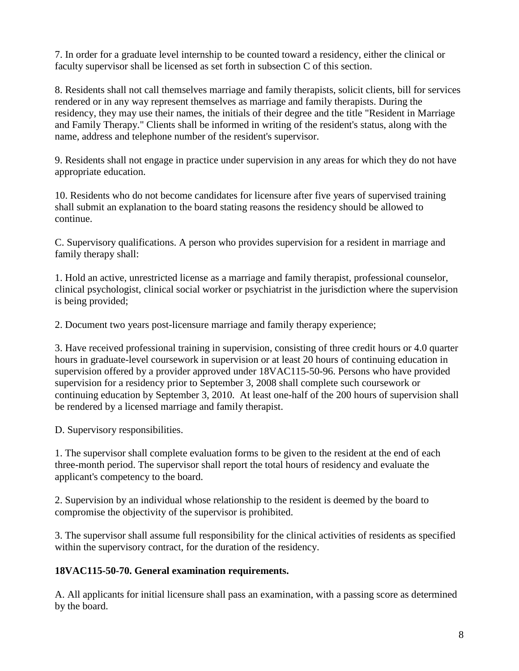7. In order for a graduate level internship to be counted toward a residency, either the clinical or faculty supervisor shall be licensed as set forth in subsection C of this section.

8. Residents shall not call themselves marriage and family therapists, solicit clients, bill for services rendered or in any way represent themselves as marriage and family therapists. During the residency, they may use their names, the initials of their degree and the title "Resident in Marriage and Family Therapy." Clients shall be informed in writing of the resident's status, along with the name, address and telephone number of the resident's supervisor.

9. Residents shall not engage in practice under supervision in any areas for which they do not have appropriate education.

10. Residents who do not become candidates for licensure after five years of supervised training shall submit an explanation to the board stating reasons the residency should be allowed to continue.

C. Supervisory qualifications. A person who provides supervision for a resident in marriage and family therapy shall:

1. Hold an active, unrestricted license as a marriage and family therapist, professional counselor, clinical psychologist, clinical social worker or psychiatrist in the jurisdiction where the supervision is being provided;

2. Document two years post-licensure marriage and family therapy experience;

3. Have received professional training in supervision, consisting of three credit hours or 4.0 quarter hours in graduate-level coursework in supervision or at least 20 hours of continuing education in supervision offered by a provider approved under 18VAC115-50-96. Persons who have provided supervision for a residency prior to September 3, 2008 shall complete such coursework or continuing education by September 3, 2010. At least one-half of the 200 hours of supervision shall be rendered by a licensed marriage and family therapist.

D. Supervisory responsibilities.

1. The supervisor shall complete evaluation forms to be given to the resident at the end of each three-month period. The supervisor shall report the total hours of residency and evaluate the applicant's competency to the board.

2. Supervision by an individual whose relationship to the resident is deemed by the board to compromise the objectivity of the supervisor is prohibited.

3. The supervisor shall assume full responsibility for the clinical activities of residents as specified within the supervisory contract, for the duration of the residency.

#### <span id="page-7-0"></span>**18VAC115-50-70. General examination requirements.**

A. All applicants for initial licensure shall pass an examination, with a passing score as determined by the board.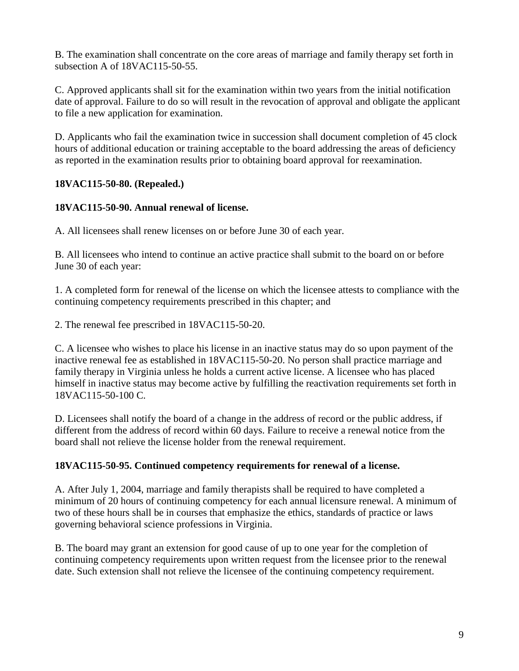B. The examination shall concentrate on the core areas of marriage and family therapy set forth in subsection A of 18VAC115-50-55.

C. Approved applicants shall sit for the examination within two years from the initial notification date of approval. Failure to do so will result in the revocation of approval and obligate the applicant to file a new application for examination.

D. Applicants who fail the examination twice in succession shall document completion of 45 clock hours of additional education or training acceptable to the board addressing the areas of deficiency as reported in the examination results prior to obtaining board approval for reexamination.

#### <span id="page-8-0"></span>**18VAC115-50-80. (Repealed.)**

#### <span id="page-8-1"></span>**18VAC115-50-90. Annual renewal of license.**

A. All licensees shall renew licenses on or before June 30 of each year.

B. All licensees who intend to continue an active practice shall submit to the board on or before June 30 of each year:

1. A completed form for renewal of the license on which the licensee attests to compliance with the continuing competency requirements prescribed in this chapter; and

2. The renewal fee prescribed in 18VAC115-50-20.

C. A licensee who wishes to place his license in an inactive status may do so upon payment of the inactive renewal fee as established in 18VAC115-50-20. No person shall practice marriage and family therapy in Virginia unless he holds a current active license. A licensee who has placed himself in inactive status may become active by fulfilling the reactivation requirements set forth in 18VAC115-50-100 C.

D. Licensees shall notify the board of a change in the address of record or the public address, if different from the address of record within 60 days. Failure to receive a renewal notice from the board shall not relieve the license holder from the renewal requirement.

#### <span id="page-8-2"></span>**18VAC115-50-95. Continued competency requirements for renewal of a license.**

A. After July 1, 2004, marriage and family therapists shall be required to have completed a minimum of 20 hours of continuing competency for each annual licensure renewal. A minimum of two of these hours shall be in courses that emphasize the ethics, standards of practice or laws governing behavioral science professions in Virginia.

B. The board may grant an extension for good cause of up to one year for the completion of continuing competency requirements upon written request from the licensee prior to the renewal date. Such extension shall not relieve the licensee of the continuing competency requirement.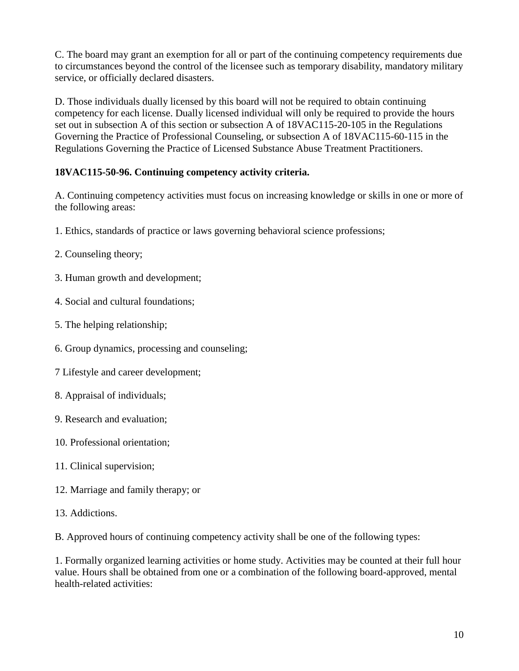C. The board may grant an exemption for all or part of the continuing competency requirements due to circumstances beyond the control of the licensee such as temporary disability, mandatory military service, or officially declared disasters.

D. Those individuals dually licensed by this board will not be required to obtain continuing competency for each license. Dually licensed individual will only be required to provide the hours set out in subsection A of this section or subsection A of 18VAC115-20-105 in the Regulations Governing the Practice of Professional Counseling, or subsection A of 18VAC115-60-115 in the Regulations Governing the Practice of Licensed Substance Abuse Treatment Practitioners.

#### <span id="page-9-0"></span>**18VAC115-50-96. Continuing competency activity criteria.**

A. Continuing competency activities must focus on increasing knowledge or skills in one or more of the following areas:

- 1. Ethics, standards of practice or laws governing behavioral science professions;
- 2. Counseling theory;
- 3. Human growth and development;
- 4. Social and cultural foundations;
- 5. The helping relationship;
- 6. Group dynamics, processing and counseling;
- 7 Lifestyle and career development;
- 8. Appraisal of individuals;
- 9. Research and evaluation;
- 10. Professional orientation;
- 11. Clinical supervision;
- 12. Marriage and family therapy; or
- 13. Addictions.

B. Approved hours of continuing competency activity shall be one of the following types:

1. Formally organized learning activities or home study. Activities may be counted at their full hour value. Hours shall be obtained from one or a combination of the following board-approved, mental health-related activities: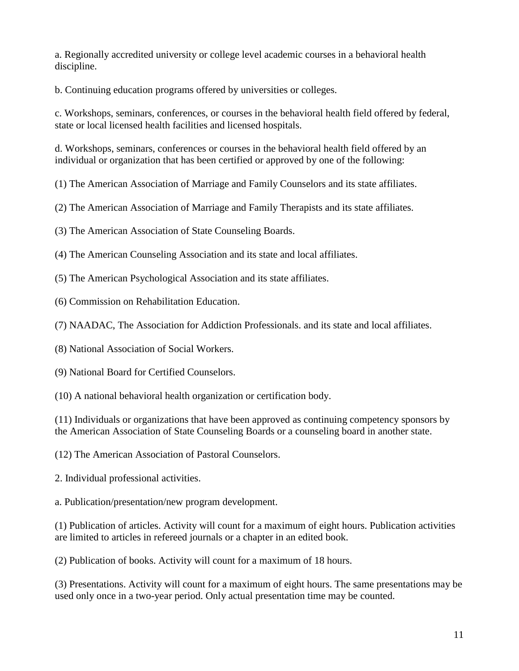a. Regionally accredited university or college level academic courses in a behavioral health discipline.

b. Continuing education programs offered by universities or colleges.

c. Workshops, seminars, conferences, or courses in the behavioral health field offered by federal, state or local licensed health facilities and licensed hospitals.

d. Workshops, seminars, conferences or courses in the behavioral health field offered by an individual or organization that has been certified or approved by one of the following:

(1) The American Association of Marriage and Family Counselors and its state affiliates.

(2) The American Association of Marriage and Family Therapists and its state affiliates.

(3) The American Association of State Counseling Boards.

(4) The American Counseling Association and its state and local affiliates.

(5) The American Psychological Association and its state affiliates.

(6) Commission on Rehabilitation Education.

(7) NAADAC, The Association for Addiction Professionals. and its state and local affiliates.

(8) National Association of Social Workers.

(9) National Board for Certified Counselors.

(10) A national behavioral health organization or certification body.

(11) Individuals or organizations that have been approved as continuing competency sponsors by the American Association of State Counseling Boards or a counseling board in another state.

(12) The American Association of Pastoral Counselors.

2. Individual professional activities.

a. Publication/presentation/new program development.

(1) Publication of articles. Activity will count for a maximum of eight hours. Publication activities are limited to articles in refereed journals or a chapter in an edited book.

(2) Publication of books. Activity will count for a maximum of 18 hours.

(3) Presentations. Activity will count for a maximum of eight hours. The same presentations may be used only once in a two-year period. Only actual presentation time may be counted.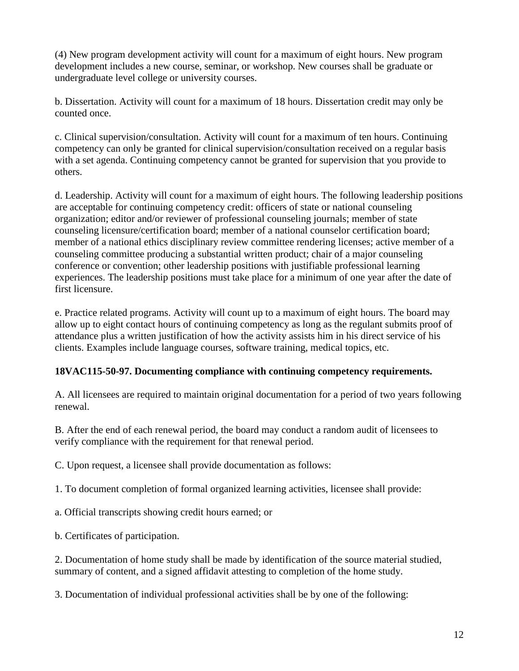(4) New program development activity will count for a maximum of eight hours. New program development includes a new course, seminar, or workshop. New courses shall be graduate or undergraduate level college or university courses.

b. Dissertation. Activity will count for a maximum of 18 hours. Dissertation credit may only be counted once.

c. Clinical supervision/consultation. Activity will count for a maximum of ten hours. Continuing competency can only be granted for clinical supervision/consultation received on a regular basis with a set agenda. Continuing competency cannot be granted for supervision that you provide to others.

d. Leadership. Activity will count for a maximum of eight hours. The following leadership positions are acceptable for continuing competency credit: officers of state or national counseling organization; editor and/or reviewer of professional counseling journals; member of state counseling licensure/certification board; member of a national counselor certification board; member of a national ethics disciplinary review committee rendering licenses; active member of a counseling committee producing a substantial written product; chair of a major counseling conference or convention; other leadership positions with justifiable professional learning experiences. The leadership positions must take place for a minimum of one year after the date of first licensure.

e. Practice related programs. Activity will count up to a maximum of eight hours. The board may allow up to eight contact hours of continuing competency as long as the regulant submits proof of attendance plus a written justification of how the activity assists him in his direct service of his clients. Examples include language courses, software training, medical topics, etc.

#### <span id="page-11-0"></span>**18VAC115-50-97. Documenting compliance with continuing competency requirements.**

A. All licensees are required to maintain original documentation for a period of two years following renewal.

B. After the end of each renewal period, the board may conduct a random audit of licensees to verify compliance with the requirement for that renewal period.

C. Upon request, a licensee shall provide documentation as follows:

1. To document completion of formal organized learning activities, licensee shall provide:

a. Official transcripts showing credit hours earned; or

b. Certificates of participation.

2. Documentation of home study shall be made by identification of the source material studied, summary of content, and a signed affidavit attesting to completion of the home study.

3. Documentation of individual professional activities shall be by one of the following: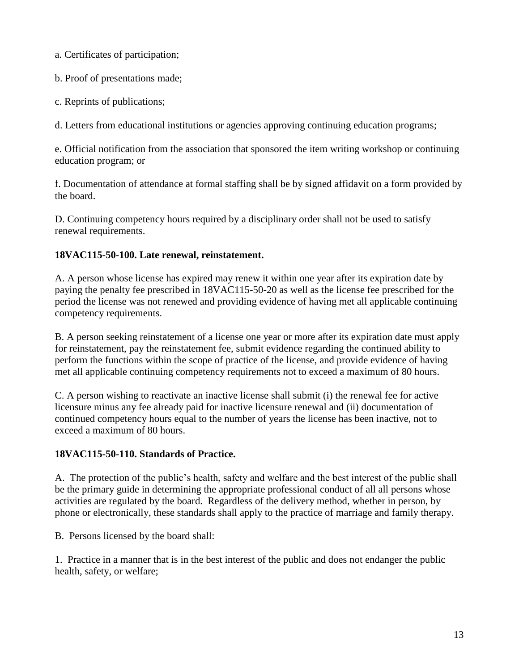a. Certificates of participation;

b. Proof of presentations made;

c. Reprints of publications;

d. Letters from educational institutions or agencies approving continuing education programs;

e. Official notification from the association that sponsored the item writing workshop or continuing education program; or

f. Documentation of attendance at formal staffing shall be by signed affidavit on a form provided by the board.

D. Continuing competency hours required by a disciplinary order shall not be used to satisfy renewal requirements.

#### <span id="page-12-0"></span>**18VAC115-50-100. Late renewal, reinstatement.**

A. A person whose license has expired may renew it within one year after its expiration date by paying the penalty fee prescribed in 18VAC115-50-20 as well as the license fee prescribed for the period the license was not renewed and providing evidence of having met all applicable continuing competency requirements.

B. A person seeking reinstatement of a license one year or more after its expiration date must apply for reinstatement, pay the reinstatement fee, submit evidence regarding the continued ability to perform the functions within the scope of practice of the license, and provide evidence of having met all applicable continuing competency requirements not to exceed a maximum of 80 hours.

C. A person wishing to reactivate an inactive license shall submit (i) the renewal fee for active licensure minus any fee already paid for inactive licensure renewal and (ii) documentation of continued competency hours equal to the number of years the license has been inactive, not to exceed a maximum of 80 hours.

#### <span id="page-12-1"></span>**18VAC115-50-110. Standards of Practice.**

A. The protection of the public's health, safety and welfare and the best interest of the public shall be the primary guide in determining the appropriate professional conduct of all all persons whose activities are regulated by the board. Regardless of the delivery method, whether in person, by phone or electronically, these standards shall apply to the practice of marriage and family therapy.

B. Persons licensed by the board shall:

1. Practice in a manner that is in the best interest of the public and does not endanger the public health, safety, or welfare;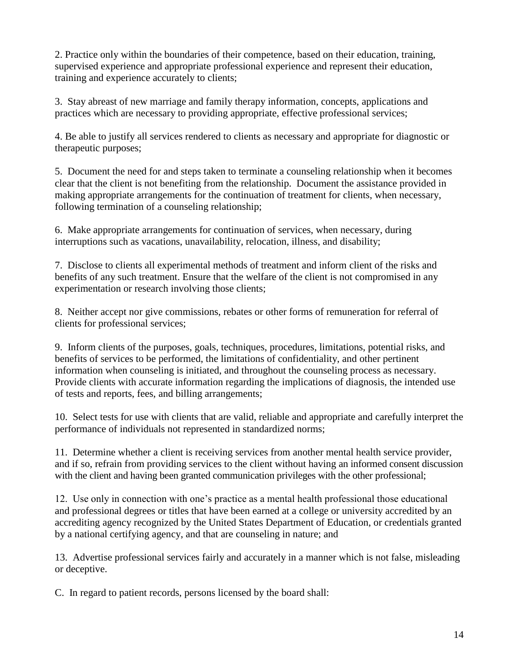2. Practice only within the boundaries of their competence, based on their education, training, supervised experience and appropriate professional experience and represent their education, training and experience accurately to clients;

3. Stay abreast of new marriage and family therapy information, concepts, applications and practices which are necessary to providing appropriate, effective professional services;

4. Be able to justify all services rendered to clients as necessary and appropriate for diagnostic or therapeutic purposes;

5. Document the need for and steps taken to terminate a counseling relationship when it becomes clear that the client is not benefiting from the relationship. Document the assistance provided in making appropriate arrangements for the continuation of treatment for clients, when necessary, following termination of a counseling relationship;

6. Make appropriate arrangements for continuation of services, when necessary, during interruptions such as vacations, unavailability, relocation, illness, and disability;

7. Disclose to clients all experimental methods of treatment and inform client of the risks and benefits of any such treatment. Ensure that the welfare of the client is not compromised in any experimentation or research involving those clients;

8. Neither accept nor give commissions, rebates or other forms of remuneration for referral of clients for professional services;

9. Inform clients of the purposes, goals, techniques, procedures, limitations, potential risks, and benefits of services to be performed, the limitations of confidentiality, and other pertinent information when counseling is initiated, and throughout the counseling process as necessary. Provide clients with accurate information regarding the implications of diagnosis, the intended use of tests and reports, fees, and billing arrangements;

10. Select tests for use with clients that are valid, reliable and appropriate and carefully interpret the performance of individuals not represented in standardized norms;

11. Determine whether a client is receiving services from another mental health service provider, and if so, refrain from providing services to the client without having an informed consent discussion with the client and having been granted communication privileges with the other professional;

12. Use only in connection with one's practice as a mental health professional those educational and professional degrees or titles that have been earned at a college or university accredited by an accrediting agency recognized by the United States Department of Education, or credentials granted by a national certifying agency, and that are counseling in nature; and

13. Advertise professional services fairly and accurately in a manner which is not false, misleading or deceptive.

C. In regard to patient records, persons licensed by the board shall: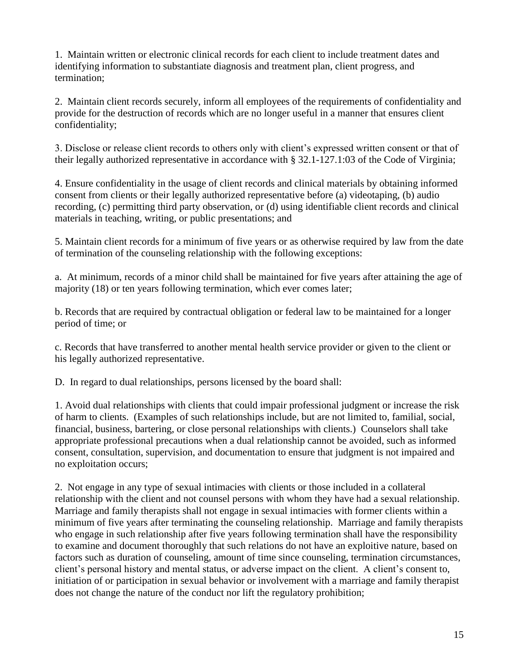1. Maintain written or electronic clinical records for each client to include treatment dates and identifying information to substantiate diagnosis and treatment plan, client progress, and termination;

2. Maintain client records securely, inform all employees of the requirements of confidentiality and provide for the destruction of records which are no longer useful in a manner that ensures client confidentiality;

3. Disclose or release client records to others only with client's expressed written consent or that of their legally authorized representative in accordance with § 32.1-127.1:03 of the Code of Virginia;

4. Ensure confidentiality in the usage of client records and clinical materials by obtaining informed consent from clients or their legally authorized representative before (a) videotaping, (b) audio recording, (c) permitting third party observation, or (d) using identifiable client records and clinical materials in teaching, writing, or public presentations; and

5. Maintain client records for a minimum of five years or as otherwise required by law from the date of termination of the counseling relationship with the following exceptions:

a. At minimum, records of a minor child shall be maintained for five years after attaining the age of majority (18) or ten years following termination, which ever comes later;

b. Records that are required by contractual obligation or federal law to be maintained for a longer period of time; or

c. Records that have transferred to another mental health service provider or given to the client or his legally authorized representative.

D. In regard to dual relationships, persons licensed by the board shall:

1. Avoid dual relationships with clients that could impair professional judgment or increase the risk of harm to clients. (Examples of such relationships include, but are not limited to, familial, social, financial, business, bartering, or close personal relationships with clients.) Counselors shall take appropriate professional precautions when a dual relationship cannot be avoided, such as informed consent, consultation, supervision, and documentation to ensure that judgment is not impaired and no exploitation occurs;

2. Not engage in any type of sexual intimacies with clients or those included in a collateral relationship with the client and not counsel persons with whom they have had a sexual relationship. Marriage and family therapists shall not engage in sexual intimacies with former clients within a minimum of five years after terminating the counseling relationship. Marriage and family therapists who engage in such relationship after five years following termination shall have the responsibility to examine and document thoroughly that such relations do not have an exploitive nature, based on factors such as duration of counseling, amount of time since counseling, termination circumstances, client's personal history and mental status, or adverse impact on the client. A client's consent to, initiation of or participation in sexual behavior or involvement with a marriage and family therapist does not change the nature of the conduct nor lift the regulatory prohibition;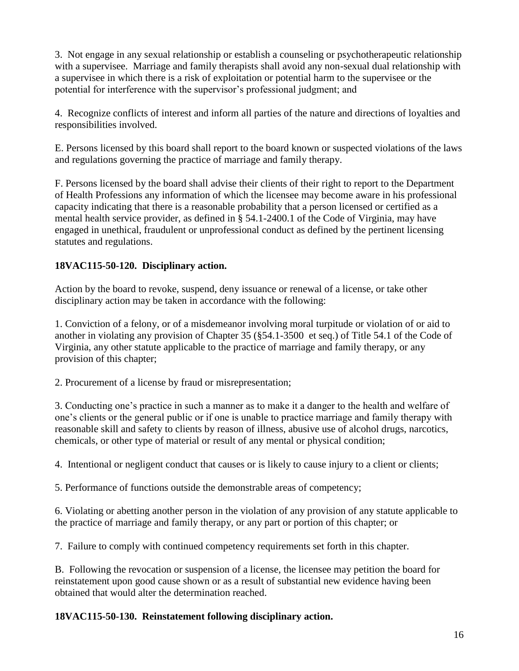3. Not engage in any sexual relationship or establish a counseling or psychotherapeutic relationship with a supervisee. Marriage and family therapists shall avoid any non-sexual dual relationship with a supervisee in which there is a risk of exploitation or potential harm to the supervisee or the potential for interference with the supervisor's professional judgment; and

4. Recognize conflicts of interest and inform all parties of the nature and directions of loyalties and responsibilities involved.

E. Persons licensed by this board shall report to the board known or suspected violations of the laws and regulations governing the practice of marriage and family therapy.

F. Persons licensed by the board shall advise their clients of their right to report to the Department of Health Professions any information of which the licensee may become aware in his professional capacity indicating that there is a reasonable probability that a person licensed or certified as a mental health service provider, as defined in § 54.1-2400.1 of the Code of Virginia, may have engaged in unethical, fraudulent or unprofessional conduct as defined by the pertinent licensing statutes and regulations.

#### <span id="page-15-0"></span>**18VAC115-50-120. Disciplinary action.**

Action by the board to revoke, suspend, deny issuance or renewal of a license, or take other disciplinary action may be taken in accordance with the following:

1. Conviction of a felony, or of a misdemeanor involving moral turpitude or violation of or aid to another in violating any provision of Chapter 35 (§54.1-3500 et seq.) of Title 54.1 of the Code of Virginia, any other statute applicable to the practice of marriage and family therapy, or any provision of this chapter;

2. Procurement of a license by fraud or misrepresentation;

3. Conducting one's practice in such a manner as to make it a danger to the health and welfare of one's clients or the general public or if one is unable to practice marriage and family therapy with reasonable skill and safety to clients by reason of illness, abusive use of alcohol drugs, narcotics, chemicals, or other type of material or result of any mental or physical condition;

4. Intentional or negligent conduct that causes or is likely to cause injury to a client or clients;

5. Performance of functions outside the demonstrable areas of competency;

6. Violating or abetting another person in the violation of any provision of any statute applicable to the practice of marriage and family therapy, or any part or portion of this chapter; or

7. Failure to comply with continued competency requirements set forth in this chapter.

B. Following the revocation or suspension of a license, the licensee may petition the board for reinstatement upon good cause shown or as a result of substantial new evidence having been obtained that would alter the determination reached.

#### <span id="page-15-1"></span>**18VAC115-50-130. Reinstatement following disciplinary action.**